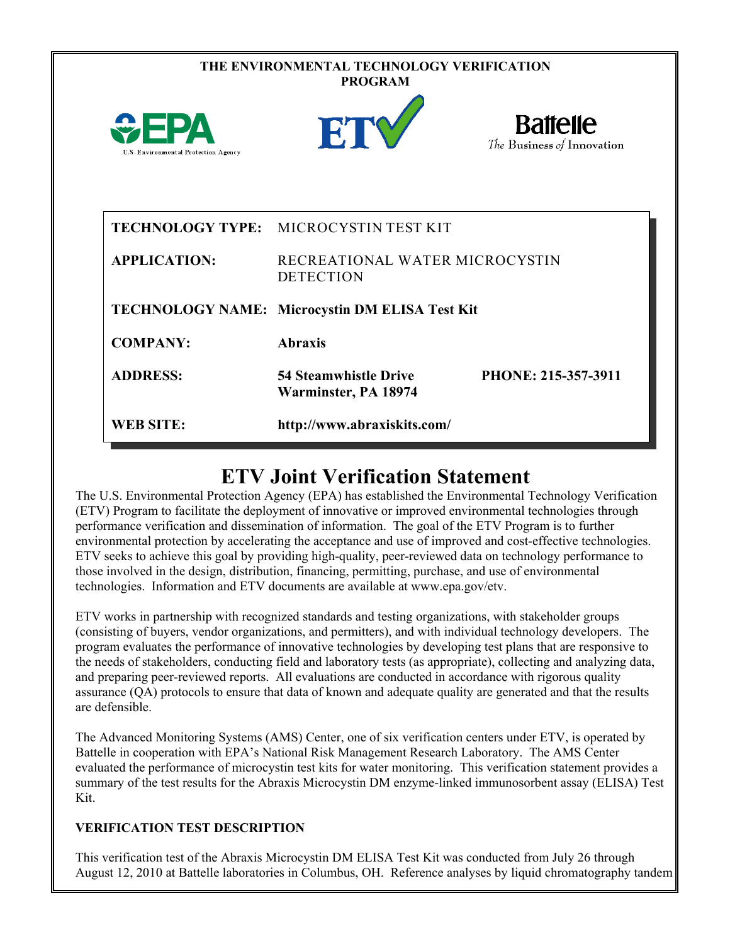|                                             | THE ENVIRONMENTAL TECHNOLOGY VERIFICATION<br><b>PROGRAM</b> |                                               |
|---------------------------------------------|-------------------------------------------------------------|-----------------------------------------------|
| FPA<br>U.S. Environmental Protection Agency | ET                                                          | <b>Battelle</b><br>The Business of Innovation |
|                                             | TECHNOLOGY TYPE: MICROCYSTIN TEST KIT                       |                                               |
| <b>APPLICATION:</b>                         | RECREATIONAL WATER MICROCYSTIN<br><b>DETECTION</b>          |                                               |
|                                             | TECHNOLOGY NAME: Microcystin DM ELISA Test Kit              |                                               |
| <b>COMPANY:</b>                             | <b>Abraxis</b>                                              |                                               |
| <b>ADDRESS:</b>                             | <b>54 Steamwhistle Drive</b><br>Warminster, PA 18974        | PHONE: 215-357-3911                           |
| <b>WEB SITE:</b>                            | http://www.abraxiskits.com/                                 |                                               |

## **ETV Joint Verification Statement**

The U.S. Environmental Protection Agency (EPA) has established the Environmental Technology Verification (ETV) Program to facilitate the deployment of innovative or improved environmental technologies through performance verification and dissemination of information. The goal of the ETV Program is to further environmental protection by accelerating the acceptance and use of improved and cost-effective technologies. ETV seeks to achieve this goal by providing high-quality, peer-reviewed data on technology performance to those involved in the design, distribution, financing, permitting, purchase, and use of environmental technologies. Information and ETV documents are available at www.epa.gov/etv.

ETV works in partnership with recognized standards and testing organizations, with stakeholder groups (consisting of buyers, vendor organizations, and permitters), and with individual technology developers. The program evaluates the performance of innovative technologies by developing test plans that are responsive to the needs of stakeholders, conducting field and laboratory tests (as appropriate), collecting and analyzing data, and preparing peer-reviewed reports. All evaluations are conducted in accordance with rigorous quality assurance (QA) protocols to ensure that data of known and adequate quality are generated and that the results are defensible.

The Advanced Monitoring Systems (AMS) Center, one of six verification centers under ETV, is operated by Battelle in cooperation with EPA's National Risk Management Research Laboratory. The AMS Center evaluated the performance of microcystin test kits for water monitoring. This verification statement provides a summary of the test results for the Abraxis Microcystin DM enzyme-linked immunosorbent assay (ELISA) Test Kit.

## **VERIFICATION TEST DESCRIPTION**

This verification test of the Abraxis Microcystin DM ELISA Test Kit was conducted from July 26 through August 12, 2010 at Battelle laboratories in Columbus, OH. Reference analyses by liquid chromatography tandem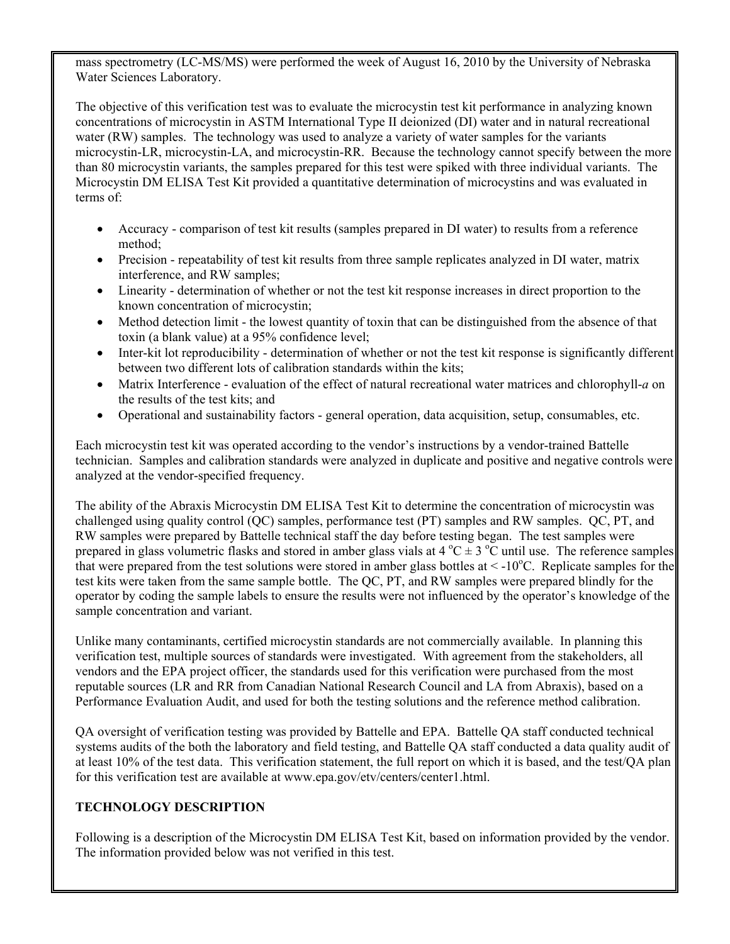mass spectrometry (LC-MS/MS) were performed the week of August 16, 2010 by the University of Nebraska Water Sciences Laboratory.

The objective of this verification test was to evaluate the microcystin test kit performance in analyzing known concentrations of microcystin in ASTM International Type II deionized (DI) water and in natural recreational water (RW) samples. The technology was used to analyze a variety of water samples for the variants microcystin-LR, microcystin-LA, and microcystin-RR. Because the technology cannot specify between the more than 80 microcystin variants, the samples prepared for this test were spiked with three individual variants. The Microcystin DM ELISA Test Kit provided a quantitative determination of microcystins and was evaluated in terms of:

- Accuracy comparison of test kit results (samples prepared in DI water) to results from a reference method;
- Precision repeatability of test kit results from three sample replicates analyzed in DI water, matrix interference, and RW samples;
- Linearity determination of whether or not the test kit response increases in direct proportion to the known concentration of microcystin;
- Method detection limit the lowest quantity of toxin that can be distinguished from the absence of that toxin (a blank value) at a 95% confidence level;
- Inter-kit lot reproducibility determination of whether or not the test kit response is significantly different between two different lots of calibration standards within the kits;
- Matrix Interference evaluation of the effect of natural recreational water matrices and chlorophyll-*a* on the results of the test kits; and
- Operational and sustainability factors general operation, data acquisition, setup, consumables, etc.

Each microcystin test kit was operated according to the vendor's instructions by a vendor-trained Battelle technician. Samples and calibration standards were analyzed in duplicate and positive and negative controls were analyzed at the vendor-specified frequency.

The ability of the Abraxis Microcystin DM ELISA Test Kit to determine the concentration of microcystin was challenged using quality control (QC) samples, performance test (PT) samples and RW samples. QC, PT, and RW samples were prepared by Battelle technical staff the day before testing began. The test samples were prepared in glass volumetric flasks and stored in amber glass vials at  $4^{\circ}C \pm 3^{\circ}C$  until use. The reference samples that were prepared from the test solutions were stored in amber glass bottles at  $\lt$  -10°C. Replicate samples for the test kits were taken from the same sample bottle. The QC, PT, and RW samples were prepared blindly for the operator by coding the sample labels to ensure the results were not influenced by the operator's knowledge of the sample concentration and variant.

Unlike many contaminants, certified microcystin standards are not commercially available. In planning this verification test, multiple sources of standards were investigated. With agreement from the stakeholders, all vendors and the EPA project officer, the standards used for this verification were purchased from the most reputable sources (LR and RR from Canadian National Research Council and LA from Abraxis), based on a Performance Evaluation Audit, and used for both the testing solutions and the reference method calibration.

QA oversight of verification testing was provided by Battelle and EPA. Battelle QA staff conducted technical systems audits of the both the laboratory and field testing, and Battelle QA staff conducted a data quality audit of at least 10% of the test data. This verification statement, the full report on which it is based, and the test/QA plan for this verification test are available at www.epa.gov/etv/centers/center1.html.

## **TECHNOLOGY DESCRIPTION**

Following is a description of the Microcystin DM ELISA Test Kit, based on information provided by the vendor. The information provided below was not verified in this test.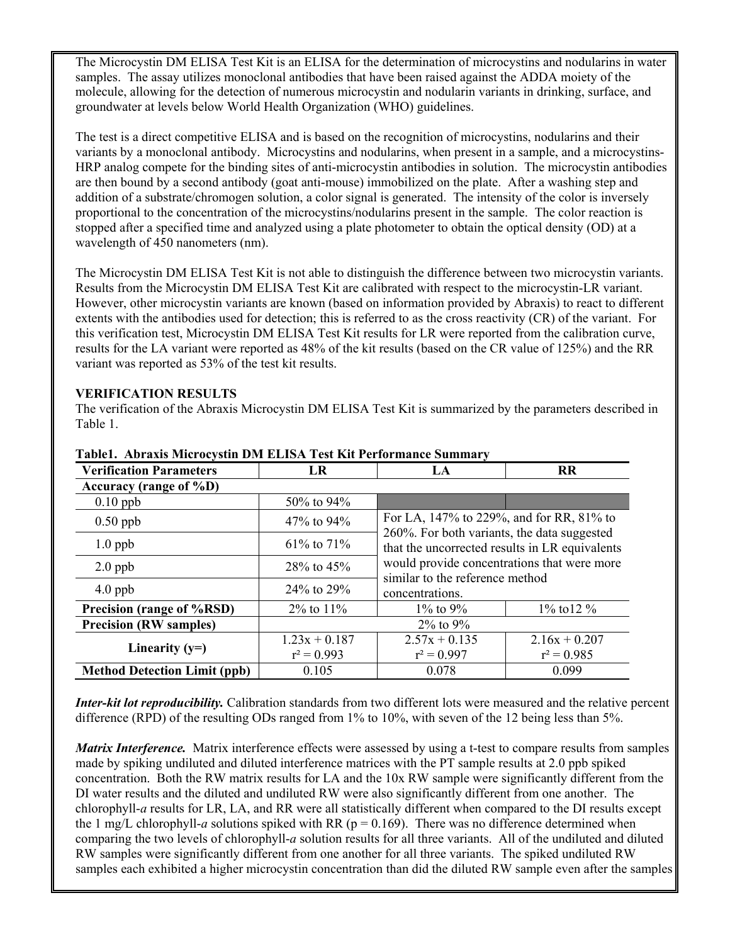The Microcystin DM ELISA Test Kit is an ELISA for the determination of microcystins and nodularins in water samples. The assay utilizes monoclonal antibodies that have been raised against the ADDA moiety of the molecule, allowing for the detection of numerous microcystin and nodularin variants in drinking, surface, and groundwater at levels below World Health Organization (WHO) guidelines.

The test is a direct competitive ELISA and is based on the recognition of microcystins, nodularins and their variants by a monoclonal antibody. Microcystins and nodularins, when present in a sample, and a microcystins-HRP analog compete for the binding sites of anti-microcystin antibodies in solution. The microcystin antibodies are then bound by a second antibody (goat anti-mouse) immobilized on the plate. After a washing step and addition of a substrate/chromogen solution, a color signal is generated. The intensity of the color is inversely proportional to the concentration of the microcystins/nodularins present in the sample. The color reaction is stopped after a specified time and analyzed using a plate photometer to obtain the optical density (OD) at a wavelength of 450 nanometers (nm).

The Microcystin DM ELISA Test Kit is not able to distinguish the difference between two microcystin variants. Results from the Microcystin DM ELISA Test Kit are calibrated with respect to the microcystin-LR variant. However, other microcystin variants are known (based on information provided by Abraxis) to react to different extents with the antibodies used for detection; this is referred to as the cross reactivity (CR) of the variant. For this verification test, Microcystin DM ELISA Test Kit results for LR were reported from the calibration curve, results for the LA variant were reported as 48% of the kit results (based on the CR value of 125%) and the RR variant was reported as 53% of the test kit results.

## **VERIFICATION RESULTS**

The verification of the Abraxis Microcystin DM ELISA Test Kit is summarized by the parameters described in Table 1.

| <b>Verification Parameters</b>      | LR               | LA                                                                                                                                                                              | <b>RR</b>        |  |  |
|-------------------------------------|------------------|---------------------------------------------------------------------------------------------------------------------------------------------------------------------------------|------------------|--|--|
| Accuracy (range of $\%D$ )          |                  |                                                                                                                                                                                 |                  |  |  |
| $0.10$ ppb                          | 50% to 94%       |                                                                                                                                                                                 |                  |  |  |
| $0.50$ ppb                          | 47% to 94%       | For LA, 147% to 229%, and for RR, 81% to                                                                                                                                        |                  |  |  |
| $1.0$ ppb                           | $61\%$ to $71\%$ | 260%. For both variants, the data suggested<br>that the uncorrected results in LR equivalents<br>would provide concentrations that were more<br>similar to the reference method |                  |  |  |
| $2.0$ ppb                           | $28\%$ to $45\%$ |                                                                                                                                                                                 |                  |  |  |
| $4.0$ ppb                           | $24\%$ to $29\%$ | concentrations.                                                                                                                                                                 |                  |  |  |
| Precision (range of %RSD)           | $2\%$ to $11\%$  | $1\%$ to 9%                                                                                                                                                                     | $1\%$ to 12 $\%$ |  |  |
| <b>Precision (RW samples)</b>       |                  | $2\%$ to $9\%$                                                                                                                                                                  |                  |  |  |
| Linearity $(y=)$                    | $1.23x + 0.187$  | $2.57x + 0.135$                                                                                                                                                                 | $2.16x + 0.207$  |  |  |
|                                     | $r^2 = 0.993$    | $r^2 = 0.997$                                                                                                                                                                   | $r^2 = 0.985$    |  |  |
| <b>Method Detection Limit (ppb)</b> | 0.105            | 0.078                                                                                                                                                                           | 0.099            |  |  |

**Table1. Abraxis Microcystin DM ELISA Test Kit Performance Summary**

*Inter-kit lot reproducibility.* Calibration standards from two different lots were measured and the relative percent difference (RPD) of the resulting ODs ranged from 1% to 10%, with seven of the 12 being less than 5%.

*Matrix Interference.* Matrix interference effects were assessed by using a t-test to compare results from samples made by spiking undiluted and diluted interference matrices with the PT sample results at 2.0 ppb spiked concentration. Both the RW matrix results for LA and the 10x RW sample were significantly different from the DI water results and the diluted and undiluted RW were also significantly different from one another. The chlorophyll-*a* results for LR, LA, and RR were all statistically different when compared to the DI results except the 1 mg/L chlorophyll-*a* solutions spiked with RR ( $p = 0.169$ ). There was no difference determined when comparing the two levels of chlorophyll-*a* solution results for all three variants. All of the undiluted and diluted RW samples were significantly different from one another for all three variants. The spiked undiluted RW samples each exhibited a higher microcystin concentration than did the diluted RW sample even after the samples